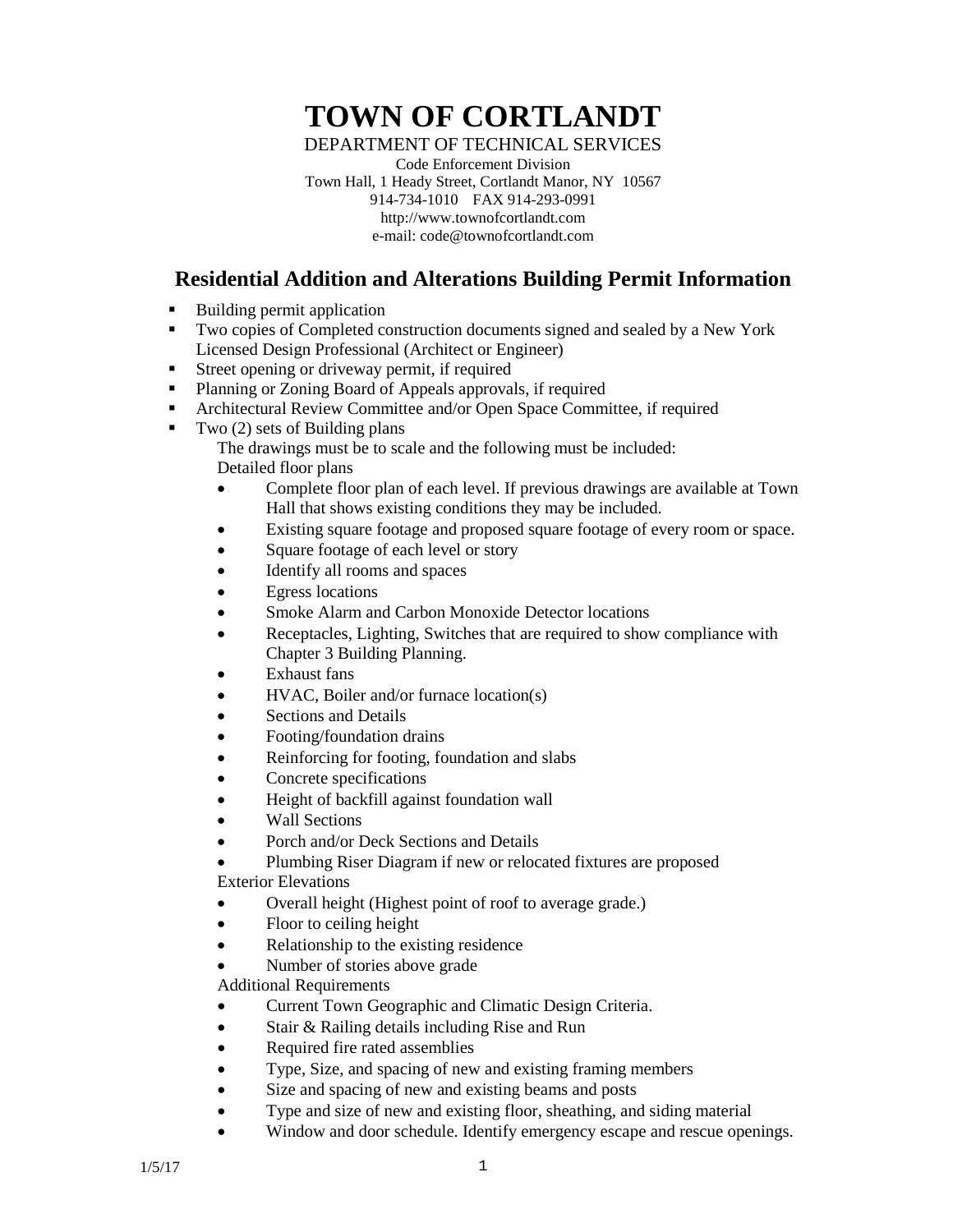## **TOWN OF CORTLANDT**

DEPARTMENT OF TECHNICAL SERVICES

Code Enforcement Division Town Hall, 1 Heady Street, Cortlandt Manor, NY 10567 914-734-1010 FAX 914-293-0991 http://www.townofcortlandt.com e-mail: code@townofcortlandt.com

## **Residential Addition and Alterations Building Permit Information**

- Building permit application
- Two copies of Completed construction documents signed and sealed by a New York Licensed Design Professional (Architect or Engineer)
- Street opening or driveway permit, if required
- Planning or Zoning Board of Appeals approvals, if required
- Architectural Review Committee and/or Open Space Committee, if required
- $\blacksquare$  Two (2) sets of Building plans

The drawings must be to scale and the following must be included: Detailed floor plans

- Complete floor plan of each level. If previous drawings are available at Town Hall that shows existing conditions they may be included.
- Existing square footage and proposed square footage of every room or space.
- Square footage of each level or story
- Identify all rooms and spaces
- Egress locations
- Smoke Alarm and Carbon Monoxide Detector locations
- Receptacles, Lighting, Switches that are required to show compliance with Chapter 3 Building Planning.
- **Exhaust** fans
- HVAC, Boiler and/or furnace location(s)
- Sections and Details
- Footing/foundation drains
- Reinforcing for footing, foundation and slabs
- Concrete specifications
- Height of backfill against foundation wall
- Wall Sections
- Porch and/or Deck Sections and Details
- Plumbing Riser Diagram if new or relocated fixtures are proposed Exterior Elevations
- Overall height (Highest point of roof to average grade.)
- Floor to ceiling height
- Relationship to the existing residence
- Number of stories above grade

Additional Requirements

- Current Town Geographic and Climatic Design Criteria.
- Stair & Railing details including Rise and Run
- Required fire rated assemblies
- Type, Size, and spacing of new and existing framing members
- Size and spacing of new and existing beams and posts
- Type and size of new and existing floor, sheathing, and siding material
- Window and door schedule. Identify emergency escape and rescue openings.